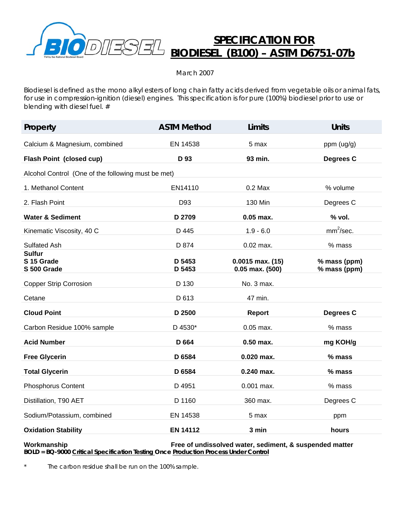

## **SPECIFICATION FOR BIODIESEL (B100) – ASTM D6751-07b**

March 2007

Biodiesel is defined as the mono alkyl esters of long chain fatty acids derived from vegetable oils or animal fats, for use in compression-ignition (diesel) engines. This specification is for pure (100%) biodiesel prior to use or blending with diesel fuel. #

| Property                                           | <b>ASTM Method</b> | <b>Limits</b>                               | <b>Units</b>                 |
|----------------------------------------------------|--------------------|---------------------------------------------|------------------------------|
| Calcium & Magnesium, combined                      | EN 14538           | 5 max                                       | ppm (ug/g)                   |
| Flash Point (closed cup)                           | D 93               | 93 min.                                     | Degrees C                    |
| Alcohol Control (One of the following must be met) |                    |                                             |                              |
| 1. Methanol Content                                | EN14110            | $0.2$ Max                                   | % volume                     |
| 2. Flash Point                                     | D93                | 130 Min                                     | Degrees C                    |
| <b>Water &amp; Sediment</b>                        | D 2709             | $0.05$ max.                                 | % vol.                       |
| Kinematic Viscosity, 40 C                          | D 445              | $1.9 - 6.0$                                 | mm <sup>2</sup> /sec.        |
| <b>Sulfated Ash</b>                                | D 874              | $0.02$ max.                                 | % mass                       |
| <b>Sulfur</b><br>S 15 Grade<br>S 500 Grade         | D 5453<br>D 5453   | $0.0015$ max. $(15)$<br>$0.05$ max. $(500)$ | % mass (ppm)<br>% mass (ppm) |
| <b>Copper Strip Corrosion</b>                      | D 130              | No. 3 max.                                  |                              |
| Cetane                                             | D 613              | 47 min.                                     |                              |
| <b>Cloud Point</b>                                 | D 2500             | <b>Report</b>                               | Degrees C                    |
| Carbon Residue 100% sample                         | D 4530*            | 0.05 max.                                   | % mass                       |
| <b>Acid Number</b>                                 | D 664              | $0.50$ max.                                 | mg KOH/g                     |
| <b>Free Glycerin</b>                               | D 6584             | $0.020$ max.                                | $%$ mass                     |
| <b>Total Glycerin</b>                              | D 6584             | 0.240 max.                                  | % mass                       |
| <b>Phosphorus Content</b>                          | D 4951             | $0.001$ max.                                | % mass                       |
| Distillation, T90 AET                              | D 1160             | 360 max.                                    | Degrees C                    |
| Sodium/Potassium, combined                         | EN 14538           | 5 max                                       | ppm                          |
| <b>Oxidation Stability</b>                         | <b>EN 14112</b>    | 3 min                                       | hours                        |

**Workmanship Free of undissolved water, sediment, & suspended matter BOLD = BQ-9000 Critical Specification Testing Once Production Process Under Control**

\* The carbon residue shall be run on the 100% sample.